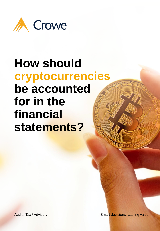

# **How should cryptocurrencies be accounted for in the financial statements?**

© 2021 Crowe Malaysia PLT 1

Audit / Tax / Advisory **Subset 1 Audit / Tax / Advisory** Smart decisions. Lasting value.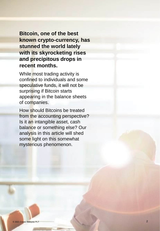**Bitcoin, one of the best known crypto-currency, has stunned the world lately with its skyrocketing rises and precipitous drops in recent months.** 

While most trading activity is confined to individuals and some speculative funds, it will not be surprising if Bitcoin starts appearing in the balance sheets of companies.

How should Bitcoins be treated from the accounting perspective? Is it an intangible asset, cash balance or something else? Our analysis in this article will shed some light on this somewhat mysterious phenomenon.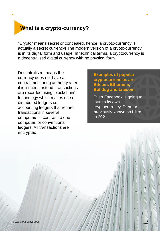# **What is a crypto-currency?**

"Crypto" means secret or concealed, hence, a crypto-currency is actually a secret currency! The modern version of a crypto-currency is in its digital form and usage. In technical terms, a cryptocurrency is a decentralised digital currency with no physical form.

Decentralised means the currency does not have a central monitoring authority after it is issued. Instead, transactions are recorded using 'blockchain' technology which makes use of distributed ledgers i.e accounting ledgers that record transactions in several computers in contrast to one computer for conventional ledgers. All transactions are encrypted.

## **Examples of popular cryptocurrencies are Bitcoin, Ethereum, Bulldog and Litecoin.**

Even Facebook is going to launch its own cryptocurrency, Diem or previously known as Libra, in 2021.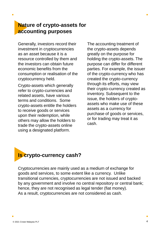# **Nature of crypto-assets for accounting purposes**

Generally, investors record their investment in cryptocurrencies as an asset because it is a resource controlled by them and the investors can obtain future economic benefits from the consumption or realisation of the cryptocurrency held.

Crypto-assets which generally refer to crypto-currencies and related assets, have various terms and conditions. Some crypto-assets entitle the holders to receive goods or services upon their redemption, while others may allow the holders to trade the crypto-assets online using a designated platform.

The accounting treatment of the crypto-assets depends greatly on the purpose for holding the crypto-assets. The purpose can differ for different parties. For example, the issuer of the crypto-currency who has created the crypto-currency through its efforts, may view their crypto-currency created as inventory. Subsequent to the issue, the holders of cryptoassets who make use of these assets as a currency for purchase of goods or services, or for trading may treat it as cash.



Cryptocurrencies are mainly used as a medium of exchange for goods and services, to some extent like a currency. Unlike transitional currencies, cryptocurrencies are not issued and backed by any government and involve no central repository or central bank; hence, they are not recognised as legal tender (fiat money). As a result, cryptocurrencies are not considered as cash.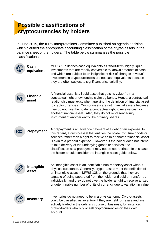# **Possible classifications of cryptocurrencies by holders**

 $\bullet$ 

In June 2019, the IFRS Interpretations Committee published an agenda decision which clarified the appropriate accounting classification of the crypto-assets in the balance sheet of the holders. The table below summarises the possible classifications:-

|                         | Cash<br>equivalents       | MFRS 107 defines cash equivalents as 'short-term, highly liquid<br>investments that are readily convertible to known amounts of cash<br>and which are subject to an insignificant risk of changes in value'.<br>Investment in cryptocurrencies are not cash equivalents because<br>they are often subject to significant price volatility.                                                                                                                                                        |
|-------------------------|---------------------------|---------------------------------------------------------------------------------------------------------------------------------------------------------------------------------------------------------------------------------------------------------------------------------------------------------------------------------------------------------------------------------------------------------------------------------------------------------------------------------------------------|
|                         | <b>Financial</b><br>asset | A financial asset is a liquid asset that gets its value from a<br>contractual right or ownership claim eg bonds. Hence, a contractual<br>relationship must exist when applying the definition of financial asset<br>to cryptocurrencies. Crypto-assets are not financial assets because<br>they do not give the holder a contractual right to receive cash or<br>another financial asset. Also, they do not represent equity<br>instrument of another entity like ordinary shares.                |
| $\overline{\mathbf{C}}$ | <b>Prepayment</b>         | A prepayment is an advance payment of a debt or an expense. In<br>this regard, a crypto-asset that entitles the holder to future goods or<br>services rather than a right to receive cash or another financial asset<br>is akin to a prepaid expense. However, if the holder does not intend<br>to take delivery of the underlying goods or services, the<br>classification as a prepayment may not be appropriate. In this case,<br>the holder should consider the intangible asset guide below. |
|                         | Intangible<br>asset       | An intangible asset is an identifiable non-monetary asset without<br>physical substance. Generally, crypto-assets meet the definition of<br>an intangible asset in MFRS 138 on the grounds that they are<br>capable of being separated from the holder and sold or transferred<br>individually; and they do not give the holder a right to receive a fixed<br>or determinable number of units of currency due to variation in value.                                                              |
|                         | <b>Inventory</b>          | Inventories do not need to be in a physical form. Crypto-assets<br>could be classified as inventory if they are held for resale and are<br>actively traded in the ordinary course of business; for instance,<br>broker-traders who buy or sell cryptocurrencies on their own<br>account.                                                                                                                                                                                                          |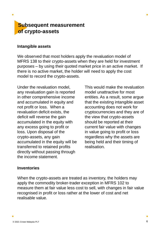## **Subsequent measurement of crypto-assets**

### **Intangible assets**

We observed that most holders apply the revaluation model of MFRS 138 to their crypto-assets when they are held for investment purposes – by using their quoted market price in an active market. If there is no active market, the holder will need to apply the cost model to record the crypto-assets.

Under the revaluation model, any revaluation gain is reported in other comprehensive income and accumulated in equity and not profit or loss. When a revaluation deficit exists, the deficit will reverse the gain accumulated in the equity with any excess going to profit or loss. Upon disposal of the crypto-assets, any gain accumulated in the equity will be transferred to retained profits directly without passing through the income statement.

This would make the revaluation model unattractive for most entities. As a result, some argue that the existing intangible asset accounting does not work for cryptocurrencies and they are of the view that crypto-assets should be reported at their current fair value with changes in value going to profit or loss regardless why the assets are being held and their timing of realisation.

## **Inventories**

When the crypto-assets are treated as inventory, the holders may apply the commodity broker-trader exception in MFRS 102 to measure them at fair value less cost to sell, with changes in fair value recognised in profit or loss rather at the lower of cost and net realisable value.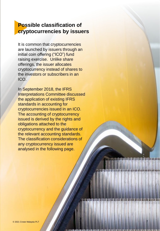# **Possible classification of cryptocurrencies by issuers**

It is common that cryptocurrencies are launched by issuers through an initial coin offering ("ICO") fund raising exercise. Unlike share offerings, the issuer allocates cryptocurrency instead of shares to the investors or subscribers in an ICO.

In September 2018, the IFRS Interpretations Committee discussed the application of existing IFRS standards in accounting for cryptocurrencies issued in an ICO. The accounting of cryptocurrency issued is derived by the rights and obligations attached to the cryptocurrency and the guidance of the relevant accounting standards. The classification considerations of any cryptocurrency issued are analysed in the following page.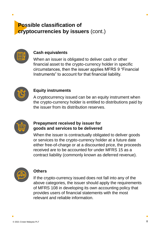# **Possible classification of cryptocurrencies by issuers** (cont.)



### **Cash equivalents**

When an issuer is obligated to deliver cash or other financial asset to the crypto-currency holder in specific circumstances, then the issuer applies MFRS 9 "Financial Instruments" to account for that financial liability.



### **Equity instruments**

A cryptocurrency issued can be an equity instrument when the crypto-currency holder is entitled to distributions paid by the issuer from its distribution reserves.



## **Prepayment received by issuer for goods and services to be delivered**

When the issuer is contractually obligated to deliver goods or services to the crypto-currency holder at a future date either free-of-charge or at a discounted price, the proceeds received are to be accounted for under MFRS 15 as a contract liability (commonly known as deferred revenue).



#### **Others**

If the crypto-currency issued does not fall into any of the above categories, the issuer should apply the requirements of MFRS 108 in developing its own accounting policy that provides users of financial statements with the most relevant and reliable information.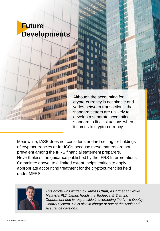

Although the accounting for crypto-currency is not simple and varies between transactions, the standard setters are unlikely to develop a separate accounting standard to fit all situations when it comes to crypto-currency.

Meanwhile, IASB does not consider standard-setting for holdings of cryptocurrencies or for ICOs because these matters are not prevalent among the IFRS financial statement preparers. Nevertheless, the guidance published by the IFRS Interpretations Committee above, to a limited extent, helps entities to apply appropriate accounting treatment for the cryptocurrencies held under MFRS.



*This article was written by James Chan, a Partner at Crowe Malaysia PLT. James heads the Technical & Training Department and is responsible in overseeing the firm's Quality Control System. He is also in charge of one of the Audit and Assurance divisions*.